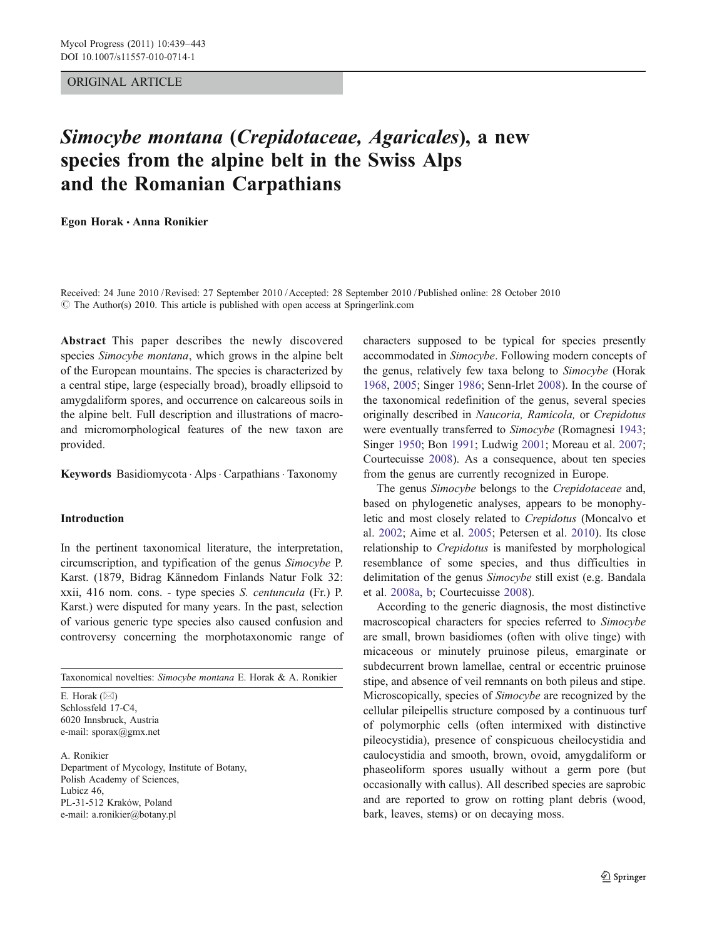### ORIGINAL ARTICLE

# Simocybe montana (Crepidotaceae, Agaricales), a new species from the alpine belt in the Swiss Alps and the Romanian Carpathians

Egon Horak · Anna Ronikier

Received: 24 June 2010 /Revised: 27 September 2010 /Accepted: 28 September 2010 / Published online: 28 October 2010  $\circ$  The Author(s) 2010. This article is published with open access at Springerlink.com

Abstract This paper describes the newly discovered species Simocybe montana, which grows in the alpine belt of the European mountains. The species is characterized by a central stipe, large (especially broad), broadly ellipsoid to amygdaliform spores, and occurrence on calcareous soils in the alpine belt. Full description and illustrations of macroand micromorphological features of the new taxon are provided.

Keywords Basidiomycota . Alps . Carpathians . Taxonomy

### Introduction

In the pertinent taxonomical literature, the interpretation, circumscription, and typification of the genus Simocybe P. Karst. (1879, Bidrag Kännedom Finlands Natur Folk 32: xxii, 416 nom. cons. - type species S. centuncula (Fr.) P. Karst.) were disputed for many years. In the past, selection of various generic type species also caused confusion and controversy concerning the morphotaxonomic range of

Taxonomical novelties: Simocybe montana E. Horak & A. Ronikier

E. Horak  $(\boxtimes)$ Schlossfeld 17-C4, 6020 Innsbruck, Austria e-mail: sporax@gmx.net

A. Ronikier Department of Mycology, Institute of Botany, Polish Academy of Sciences, Lubicz 46, PL-31-512 Kraków, Poland e-mail: a.ronikier@botany.pl

characters supposed to be typical for species presently accommodated in Simocybe. Following modern concepts of the genus, relatively few taxa belong to Simocybe (Horak [1968](#page-4-0), [2005](#page-4-0); Singer [1986](#page-4-0); Senn-Irlet [2008](#page-4-0)). In the course of the taxonomical redefinition of the genus, several species originally described in Naucoria, Ramicola, or Crepidotus were eventually transferred to Simocybe (Romagnesi [1943;](#page-4-0) Singer [1950;](#page-4-0) Bon [1991](#page-4-0); Ludwig [2001;](#page-4-0) Moreau et al. [2007;](#page-4-0) Courtecuisse [2008](#page-4-0)). As a consequence, about ten species from the genus are currently recognized in Europe.

The genus Simocybe belongs to the Crepidotaceae and, based on phylogenetic analyses, appears to be monophyletic and most closely related to Crepidotus (Moncalvo et al. [2002](#page-4-0); Aime et al. [2005;](#page-3-0) Petersen et al. [2010](#page-4-0)). Its close relationship to Crepidotus is manifested by morphological resemblance of some species, and thus difficulties in delimitation of the genus Simocybe still exist (e.g. Bandala et al. [2008a,](#page-3-0) [b](#page-3-0); Courtecuisse [2008\)](#page-4-0).

According to the generic diagnosis, the most distinctive macroscopical characters for species referred to Simocybe are small, brown basidiomes (often with olive tinge) with micaceous or minutely pruinose pileus, emarginate or subdecurrent brown lamellae, central or eccentric pruinose stipe, and absence of veil remnants on both pileus and stipe. Microscopically, species of Simocybe are recognized by the cellular pileipellis structure composed by a continuous turf of polymorphic cells (often intermixed with distinctive pileocystidia), presence of conspicuous cheilocystidia and caulocystidia and smooth, brown, ovoid, amygdaliform or phaseoliform spores usually without a germ pore (but occasionally with callus). All described species are saprobic and are reported to grow on rotting plant debris (wood, bark, leaves, stems) or on decaying moss.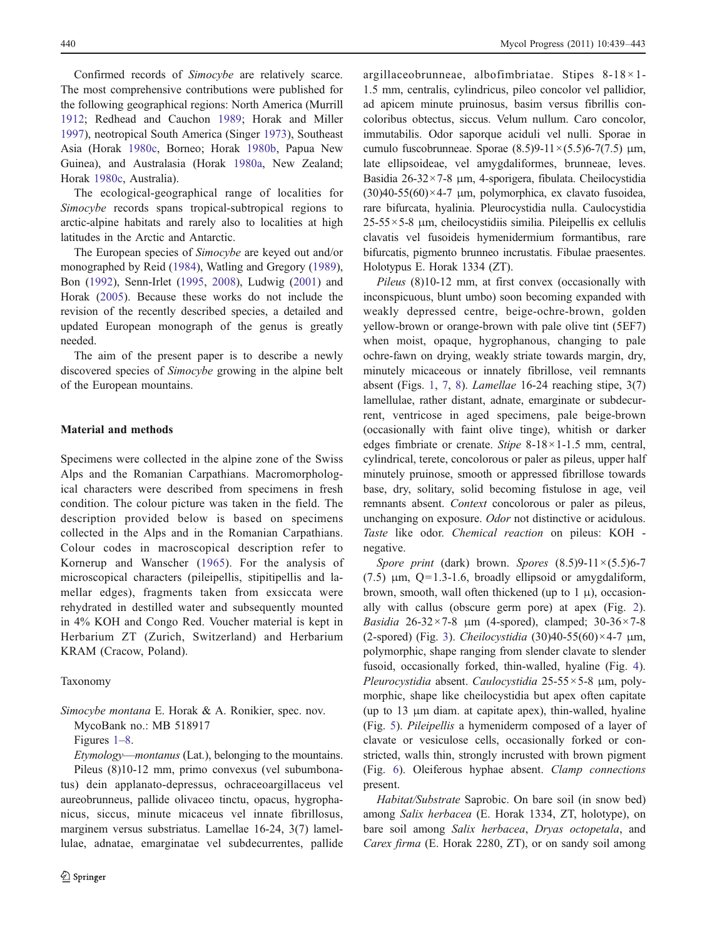Confirmed records of Simocybe are relatively scarce. The most comprehensive contributions were published for the following geographical regions: North America (Murrill [1912](#page-4-0); Redhead and Cauchon [1989;](#page-4-0) Horak and Miller [1997\)](#page-4-0), neotropical South America (Singer [1973\)](#page-4-0), Southeast Asia (Horak [1980c](#page-4-0), Borneo; Horak [1980b,](#page-4-0) Papua New Guinea), and Australasia (Horak [1980a](#page-4-0), New Zealand; Horak [1980c](#page-4-0), Australia).

The ecological-geographical range of localities for Simocybe records spans tropical-subtropical regions to arctic-alpine habitats and rarely also to localities at high latitudes in the Arctic and Antarctic.

The European species of Simocybe are keyed out and/or monographed by Reid ([1984](#page-4-0)), Watling and Gregory [\(1989](#page-4-0)), Bon [\(1992](#page-4-0)), Senn-Irlet [\(1995](#page-4-0), [2008\)](#page-4-0), Ludwig [\(2001](#page-4-0)) and Horak [\(2005](#page-4-0)). Because these works do not include the revision of the recently described species, a detailed and updated European monograph of the genus is greatly needed.

The aim of the present paper is to describe a newly discovered species of *Simocybe* growing in the alpine belt of the European mountains.

### Material and methods

Specimens were collected in the alpine zone of the Swiss Alps and the Romanian Carpathians. Macromorphological characters were described from specimens in fresh condition. The colour picture was taken in the field. The description provided below is based on specimens collected in the Alps and in the Romanian Carpathians. Colour codes in macroscopical description refer to Kornerup and Wanscher [\(1965\)](#page-4-0). For the analysis of microscopical characters (pileipellis, stipitipellis and lamellar edges), fragments taken from exsiccata were rehydrated in destilled water and subsequently mounted in 4% KOH and Congo Red. Voucher material is kept in Herbarium ZT (Zurich, Switzerland) and Herbarium KRAM (Cracow, Poland).

#### Taxonomy

Simocybe montana E. Horak & A. Ronikier, spec. nov. MycoBank no.: MB 518917

Figures [1](#page-2-0)–[8](#page-2-0).

Etymology—montanus (Lat.), belonging to the mountains. Pileus (8)10-12 mm, primo convexus (vel subumbonatus) dein applanato-depressus, ochraceoargillaceus vel aureobrunneus, pallide olivaceo tinctu, opacus, hygrophanicus, siccus, minute micaceus vel innate fibrillosus, marginem versus substriatus. Lamellae 16-24, 3(7) lamellulae, adnatae, emarginatae vel subdecurrentes, pallide argillaceobrunneae, albofimbriatae. Stipes 8-18×1- 1.5 mm, centralis, cylindricus, pileo concolor vel pallidior, ad apicem minute pruinosus, basim versus fibrillis concoloribus obtectus, siccus. Velum nullum. Caro concolor, immutabilis. Odor saporque aciduli vel nulli. Sporae in cumulo fuscobrunneae. Sporae  $(8.5)9-11\times(5.5)6-7(7.5)$  μm, late ellipsoideae, vel amygdaliformes, brunneae, leves. Basidia 26-32×7-8 μm, 4-sporigera, fibulata. Cheilocystidia  $(30)40-55(60) \times 4-7$  μm, polymorphica, ex clavato fusoidea, rare bifurcata, hyalinia. Pleurocystidia nulla. Caulocystidia  $25-55\times5-8$  μm, cheilocystidiis similia. Pileipellis ex cellulis clavatis vel fusoideis hymenidermium formantibus, rare bifurcatis, pigmento brunneo incrustatis. Fibulae praesentes. Holotypus E. Horak 1334 (ZT).

Pileus (8)10-12 mm, at first convex (occasionally with inconspicuous, blunt umbo) soon becoming expanded with weakly depressed centre, beige-ochre-brown, golden yellow-brown or orange-brown with pale olive tint (5EF7) when moist, opaque, hygrophanous, changing to pale ochre-fawn on drying, weakly striate towards margin, dry, minutely micaceous or innately fibrillose, veil remnants absent (Figs. [1](#page-2-0), [7,](#page-2-0) [8\)](#page-2-0). Lamellae 16-24 reaching stipe, 3(7) lamellulae, rather distant, adnate, emarginate or subdecurrent, ventricose in aged specimens, pale beige-brown (occasionally with faint olive tinge), whitish or darker edges fimbriate or crenate. Stipe 8-18×1-1.5 mm, central, cylindrical, terete, concolorous or paler as pileus, upper half minutely pruinose, smooth or appressed fibrillose towards base, dry, solitary, solid becoming fistulose in age, veil remnants absent. Context concolorous or paler as pileus, unchanging on exposure. Odor not distinctive or acidulous. Taste like odor. Chemical reaction on pileus: KOH negative.

Spore print (dark) brown. Spores  $(8.5)9-11\times(5.5)6-7$ (7.5)  $\mu$ m, Q=1.3-1.6, broadly ellipsoid or amygdaliform, brown, smooth, wall often thickened (up to  $1 \mu$ ), occasionally with callus (obscure germ pore) at apex (Fig. [2\)](#page-2-0). Basidia 26-32×7-8  $\mu$ m (4-spored), clamped; 30-36×7-8 (2-spored) (Fig. [3](#page-2-0)). Cheilocystidia (30)40-55(60) $\times$ 4-7  $\mu$ m, polymorphic, shape ranging from slender clavate to slender fusoid, occasionally forked, thin-walled, hyaline (Fig. [4\)](#page-2-0). Pleurocystidia absent. Caulocystidia 25-55×5-8 μm, polymorphic, shape like cheilocystidia but apex often capitate (up to 13 μm diam. at capitate apex), thin-walled, hyaline (Fig. [5\)](#page-2-0). Pileipellis a hymeniderm composed of a layer of clavate or vesiculose cells, occasionally forked or constricted, walls thin, strongly incrusted with brown pigment (Fig. [6](#page-2-0)). Oleiferous hyphae absent. Clamp connections present.

Habitat/Substrate Saprobic. On bare soil (in snow bed) among Salix herbacea (E. Horak 1334, ZT, holotype), on bare soil among Salix herbacea, Dryas octopetala, and Carex firma (E. Horak 2280, ZT), or on sandy soil among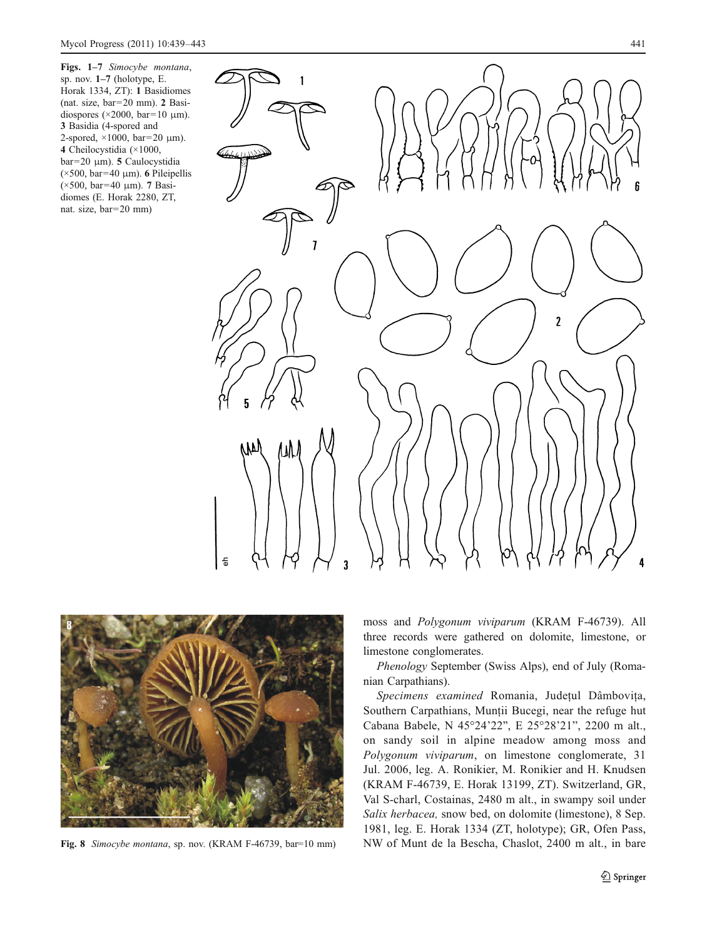<span id="page-2-0"></span>Figs. 1–7 Simocybe montana, sp. nov. 1–7 (holotype, E. Horak 1334, ZT): 1 Basidiomes (nat. size, bar=20 mm). 2 Basidiospores ( $\times$ 2000, bar=10 μm). 3 Basidia (4-spored and 2-spored,  $\times$ 1000, bar=20  $\mu$ m). 4 Cheilocystidia (×1000, bar=20 μm). 5 Caulocystidia ( $\times$ 500, bar=40 µm). 6 Pileipellis (×500, bar=40 μm). 7 Basidiomes (E. Horak 2280, ZT, nat. size, bar=20 mm)



![](_page_2_Picture_3.jpeg)

moss and Polygonum viviparum (KRAM F-46739). All three records were gathered on dolomite, limestone, or limestone conglomerates.

Phenology September (Swiss Alps), end of July (Romanian Carpathians).

Specimens examined Romania, Judeţul Dâmboviţa, Southern Carpathians, Munţii Bucegi, near the refuge hut Cabana Babele, N 45°24'22", E 25°28'21", 2200 m alt., on sandy soil in alpine meadow among moss and Polygonum viviparum, on limestone conglomerate, 31 Jul. 2006, leg. A. Ronikier, M. Ronikier and H. Knudsen (KRAM F-46739, E. Horak 13199, ZT). Switzerland, GR, Val S-charl, Costainas, 2480 m alt., in swampy soil under Salix herbacea, snow bed, on dolomite (limestone), 8 Sep. 1981, leg. E. Horak 1334 (ZT, holotype); GR, Ofen Pass, Fig. 8 Simocybe montana, sp. nov. (KRAM F-46739, bar=10 mm) NW of Munt de la Bescha, Chaslot, 2400 m alt., in bare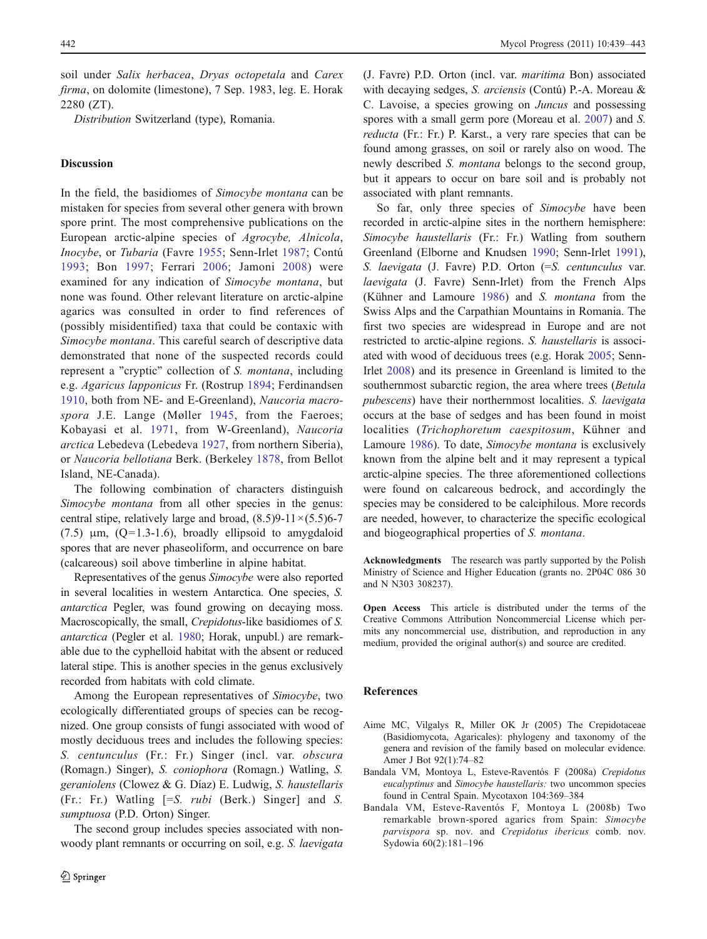<span id="page-3-0"></span>soil under Salix herbacea, Dryas octopetala and Carex firma, on dolomite (limestone), 7 Sep. 1983, leg. E. Horak 2280 (ZT).

Distribution Switzerland (type), Romania.

## Discussion

In the field, the basidiomes of Simocybe montana can be mistaken for species from several other genera with brown spore print. The most comprehensive publications on the European arctic-alpine species of Agrocybe, Alnicola, Inocybe, or Tubaria (Favre [1955](#page-4-0); Senn-Irlet [1987](#page-4-0); Contú [1993](#page-4-0); Bon [1997;](#page-4-0) Ferrari [2006](#page-4-0); Jamoni [2008](#page-4-0)) were examined for any indication of Simocybe montana, but none was found. Other relevant literature on arctic-alpine agarics was consulted in order to find references of (possibly misidentified) taxa that could be contaxic with Simocybe montana. This careful search of descriptive data demonstrated that none of the suspected records could represent a "cryptic" collection of S. montana, including e.g. Agaricus lapponicus Fr. (Rostrup [1894;](#page-4-0) Ferdinandsen [1910](#page-4-0), both from NE- and E-Greenland), Naucoria macro-spora J.E. Lange (Møller [1945,](#page-4-0) from the Faeroes; Kobayasi et al. [1971](#page-4-0), from W-Greenland), Naucoria arctica Lebedeva (Lebedeva [1927](#page-4-0), from northern Siberia), or Naucoria bellotiana Berk. (Berkeley [1878](#page-4-0), from Bellot Island, NE-Canada).

The following combination of characters distinguish Simocybe montana from all other species in the genus: central stipe, relatively large and broad,  $(8.5)9-11\times(5.5)6-7$ (7.5)  $\mu$ m, (Q=1.3-1.6), broadly ellipsoid to amygdaloid spores that are never phaseoliform, and occurrence on bare (calcareous) soil above timberline in alpine habitat.

Representatives of the genus Simocybe were also reported in several localities in western Antarctica. One species, S. antarctica Pegler, was found growing on decaying moss. Macroscopically, the small, *Crepidotus*-like basidiomes of *S*. antarctica (Pegler et al. [1980](#page-4-0); Horak, unpubl.) are remarkable due to the cyphelloid habitat with the absent or reduced lateral stipe. This is another species in the genus exclusively recorded from habitats with cold climate.

Among the European representatives of Simocybe, two ecologically differentiated groups of species can be recognized. One group consists of fungi associated with wood of mostly deciduous trees and includes the following species: S. centunculus (Fr.: Fr.) Singer (incl. var. obscura (Romagn.) Singer), S. coniophora (Romagn.) Watling, S. geraniolens (Clowez & G. Díaz) E. Ludwig, S. haustellaris (Fr.: Fr.) Watling [=S. rubi (Berk.) Singer] and S. sumptuosa (P.D. Orton) Singer.

The second group includes species associated with nonwoody plant remnants or occurring on soil, e.g. S. *laevigata*  (J. Favre) P.D. Orton (incl. var. maritima Bon) associated with decaying sedges, S. arciensis (Contú) P.-A. Moreau & C. Lavoise, a species growing on Juncus and possessing spores with a small germ pore (Moreau et al. [2007\)](#page-4-0) and S. reducta (Fr.: Fr.) P. Karst., a very rare species that can be found among grasses, on soil or rarely also on wood. The newly described S. montana belongs to the second group, but it appears to occur on bare soil and is probably not associated with plant remnants.

So far, only three species of Simocybe have been recorded in arctic-alpine sites in the northern hemisphere: Simocybe haustellaris (Fr.: Fr.) Watling from southern Greenland (Elborne and Knudsen [1990](#page-4-0); Senn-Irlet [1991\)](#page-4-0), S. laevigata (J. Favre) P.D. Orton (=S. centunculus var. laevigata (J. Favre) Senn-Irlet) from the French Alps (Kühner and Lamoure [1986\)](#page-4-0) and S. montana from the Swiss Alps and the Carpathian Mountains in Romania. The first two species are widespread in Europe and are not restricted to arctic-alpine regions. S. haustellaris is associated with wood of deciduous trees (e.g. Horak [2005](#page-4-0); Senn-Irlet [2008](#page-4-0)) and its presence in Greenland is limited to the southernmost subarctic region, the area where trees (Betula pubescens) have their northernmost localities. S. laevigata occurs at the base of sedges and has been found in moist localities (Trichophoretum caespitosum, Kühner and Lamoure [1986](#page-4-0)). To date, Simocybe montana is exclusively known from the alpine belt and it may represent a typical arctic-alpine species. The three aforementioned collections were found on calcareous bedrock, and accordingly the species may be considered to be calciphilous. More records are needed, however, to characterize the specific ecological and biogeographical properties of S. montana.

Acknowledgments The research was partly supported by the Polish Ministry of Science and Higher Education (grants no. 2P04C 086 30 and N N303 308237).

Open Access This article is distributed under the terms of the Creative Commons Attribution Noncommercial License which permits any noncommercial use, distribution, and reproduction in any medium, provided the original author(s) and source are credited.

#### References

- Aime MC, Vilgalys R, Miller OK Jr (2005) The Crepidotaceae (Basidiomycota, Agaricales): phylogeny and taxonomy of the genera and revision of the family based on molecular evidence. Amer J Bot 92(1):74–82
- Bandala VM, Montoya L, Esteve-Raventós F (2008a) Crepidotus eucalyptinus and Simocybe haustellaris: two uncommon species found in Central Spain. Mycotaxon 104:369–384
- Bandala VM, Esteve-Raventós F, Montoya L (2008b) Two remarkable brown-spored agarics from Spain: Simocybe parvispora sp. nov. and Crepidotus ibericus comb. nov. Sydowia 60(2):181–196